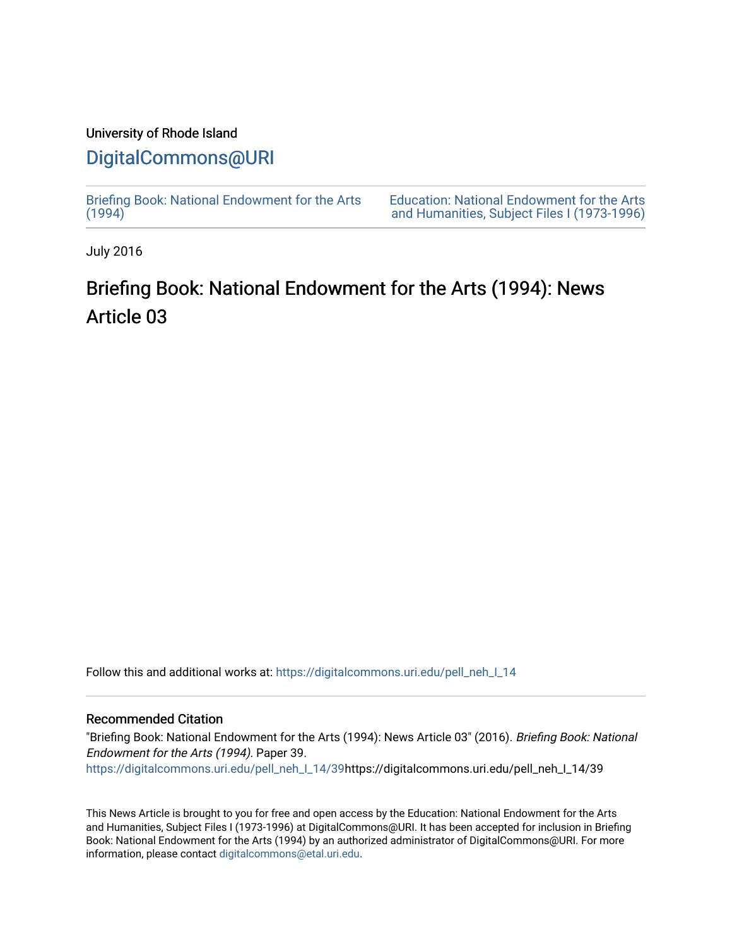### University of Rhode Island

## [DigitalCommons@URI](https://digitalcommons.uri.edu/)

[Briefing Book: National Endowment for the Arts](https://digitalcommons.uri.edu/pell_neh_I_14)  $(1994)$ 

[Education: National Endowment for the Arts](https://digitalcommons.uri.edu/pell_neh_I)  [and Humanities, Subject Files I \(1973-1996\)](https://digitalcommons.uri.edu/pell_neh_I) 

July 2016

# Briefing Book: National Endowment for the Arts (1994): News Article 03

Follow this and additional works at: [https://digitalcommons.uri.edu/pell\\_neh\\_I\\_14](https://digitalcommons.uri.edu/pell_neh_I_14?utm_source=digitalcommons.uri.edu%2Fpell_neh_I_14%2F39&utm_medium=PDF&utm_campaign=PDFCoverPages) 

#### Recommended Citation

"Briefing Book: National Endowment for the Arts (1994): News Article 03" (2016). Briefing Book: National Endowment for the Arts (1994). Paper 39. [https://digitalcommons.uri.edu/pell\\_neh\\_I\\_14/39h](https://digitalcommons.uri.edu/pell_neh_I_14/39?utm_source=digitalcommons.uri.edu%2Fpell_neh_I_14%2F39&utm_medium=PDF&utm_campaign=PDFCoverPages)ttps://digitalcommons.uri.edu/pell\_neh\_I\_14/39

This News Article is brought to you for free and open access by the Education: National Endowment for the Arts and Humanities, Subject Files I (1973-1996) at DigitalCommons@URI. It has been accepted for inclusion in Briefing Book: National Endowment for the Arts (1994) by an authorized administrator of DigitalCommons@URI. For more information, please contact [digitalcommons@etal.uri.edu.](mailto:digitalcommons@etal.uri.edu)